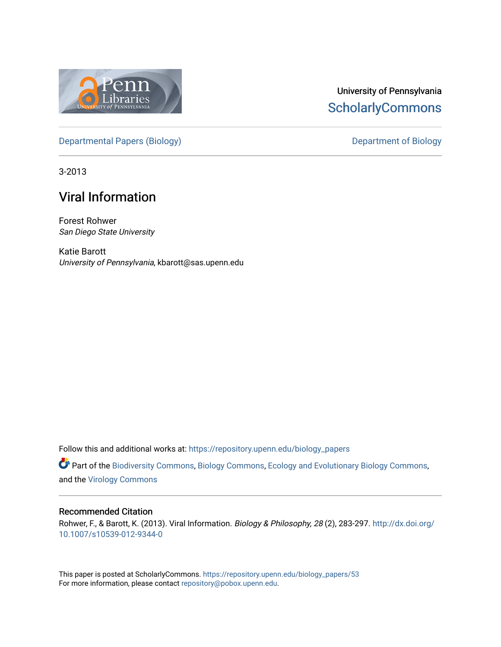

# University of Pennsylvania **ScholarlyCommons**

[Departmental Papers \(Biology\)](https://repository.upenn.edu/biology_papers) and Department of Biology

3-2013

# Viral Information

Forest Rohwer San Diego State University

Katie Barott University of Pennsylvania, kbarott@sas.upenn.edu

Follow this and additional works at: [https://repository.upenn.edu/biology\\_papers](https://repository.upenn.edu/biology_papers?utm_source=repository.upenn.edu%2Fbiology_papers%2F53&utm_medium=PDF&utm_campaign=PDFCoverPages) 

Part of the [Biodiversity Commons](http://network.bepress.com/hgg/discipline/1127?utm_source=repository.upenn.edu%2Fbiology_papers%2F53&utm_medium=PDF&utm_campaign=PDFCoverPages), [Biology Commons](http://network.bepress.com/hgg/discipline/41?utm_source=repository.upenn.edu%2Fbiology_papers%2F53&utm_medium=PDF&utm_campaign=PDFCoverPages), [Ecology and Evolutionary Biology Commons,](http://network.bepress.com/hgg/discipline/14?utm_source=repository.upenn.edu%2Fbiology_papers%2F53&utm_medium=PDF&utm_campaign=PDFCoverPages) and the [Virology Commons](http://network.bepress.com/hgg/discipline/53?utm_source=repository.upenn.edu%2Fbiology_papers%2F53&utm_medium=PDF&utm_campaign=PDFCoverPages)

### Recommended Citation

Rohwer, F., & Barott, K. (2013). Viral Information. Biology & Philosophy, 28 (2), 283-297. [http://dx.doi.org/](http://dx.doi.org/10.1007/s10539-012-9344-0) [10.1007/s10539-012-9344-0](http://dx.doi.org/10.1007/s10539-012-9344-0) 

This paper is posted at ScholarlyCommons. [https://repository.upenn.edu/biology\\_papers/53](https://repository.upenn.edu/biology_papers/53) For more information, please contact [repository@pobox.upenn.edu.](mailto:repository@pobox.upenn.edu)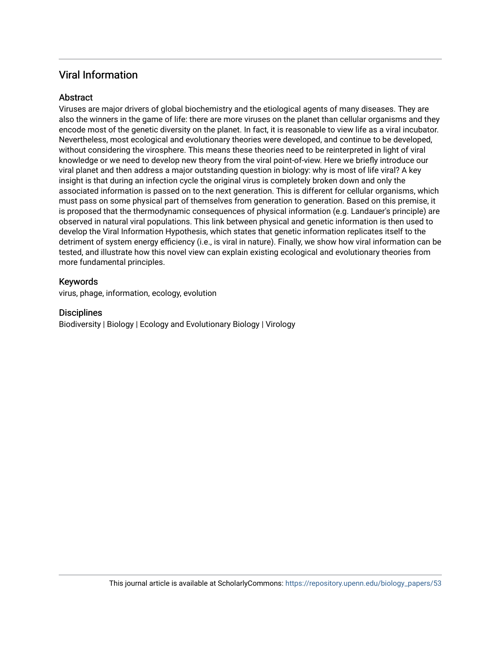## Viral Information

## Abstract

Viruses are major drivers of global biochemistry and the etiological agents of many diseases. They are also the winners in the game of life: there are more viruses on the planet than cellular organisms and they encode most of the genetic diversity on the planet. In fact, it is reasonable to view life as a viral incubator. Nevertheless, most ecological and evolutionary theories were developed, and continue to be developed, without considering the virosphere. This means these theories need to be reinterpreted in light of viral knowledge or we need to develop new theory from the viral point-of-view. Here we briefly introduce our viral planet and then address a major outstanding question in biology: why is most of life viral? A key insight is that during an infection cycle the original virus is completely broken down and only the associated information is passed on to the next generation. This is different for cellular organisms, which must pass on some physical part of themselves from generation to generation. Based on this premise, it is proposed that the thermodynamic consequences of physical information (e.g. Landauer's principle) are observed in natural viral populations. This link between physical and genetic information is then used to develop the Viral Information Hypothesis, which states that genetic information replicates itself to the detriment of system energy efficiency (i.e., is viral in nature). Finally, we show how viral information can be tested, and illustrate how this novel view can explain existing ecological and evolutionary theories from more fundamental principles.

## Keywords

virus, phage, information, ecology, evolution

## **Disciplines**

Biodiversity | Biology | Ecology and Evolutionary Biology | Virology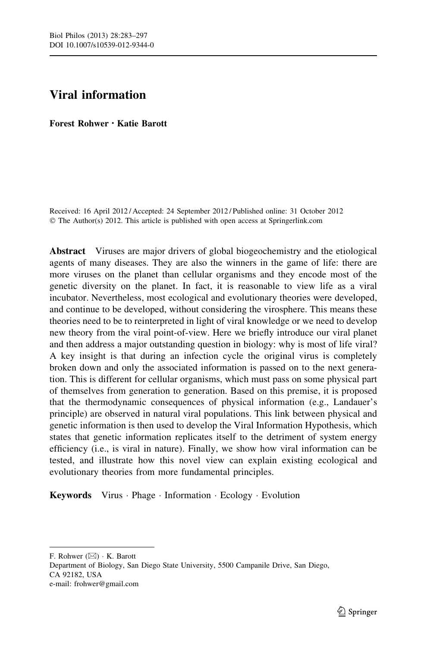## Viral information

Forest Rohwer • Katie Barott

Received: 16 April 2012 / Accepted: 24 September 2012 / Published online: 31 October 2012 © The Author(s) 2012. This article is published with open access at Springerlink.com

Abstract Viruses are major drivers of global biogeochemistry and the etiological agents of many diseases. They are also the winners in the game of life: there are more viruses on the planet than cellular organisms and they encode most of the genetic diversity on the planet. In fact, it is reasonable to view life as a viral incubator. Nevertheless, most ecological and evolutionary theories were developed, and continue to be developed, without considering the virosphere. This means these theories need to be to reinterpreted in light of viral knowledge or we need to develop new theory from the viral point-of-view. Here we briefly introduce our viral planet and then address a major outstanding question in biology: why is most of life viral? A key insight is that during an infection cycle the original virus is completely broken down and only the associated information is passed on to the next generation. This is different for cellular organisms, which must pass on some physical part of themselves from generation to generation. Based on this premise, it is proposed that the thermodynamic consequences of physical information (e.g., Landauer's principle) are observed in natural viral populations. This link between physical and genetic information is then used to develop the Viral Information Hypothesis, which states that genetic information replicates itself to the detriment of system energy efficiency (i.e., is viral in nature). Finally, we show how viral information can be tested, and illustrate how this novel view can explain existing ecological and evolutionary theories from more fundamental principles.

Keywords Virus · Phage · Information · Ecology · Evolution

Department of Biology, San Diego State University, 5500 Campanile Drive, San Diego, CA 92182, USA

e-mail: frohwer@gmail.com

F. Rohwer  $(\boxtimes) \cdot K$ . Barott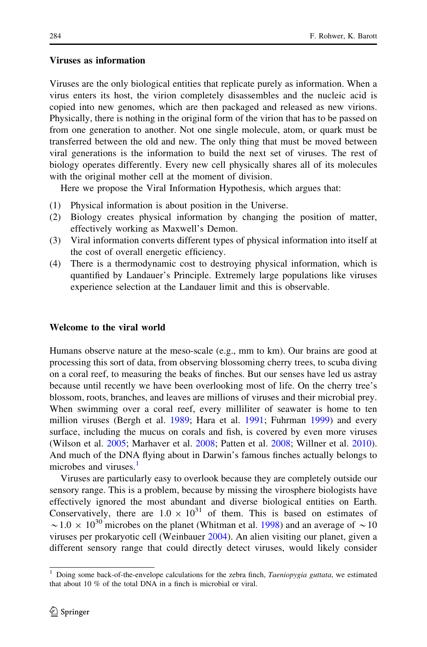#### Viruses as information

Viruses are the only biological entities that replicate purely as information. When a virus enters its host, the virion completely disassembles and the nucleic acid is copied into new genomes, which are then packaged and released as new virions. Physically, there is nothing in the original form of the virion that has to be passed on from one generation to another. Not one single molecule, atom, or quark must be transferred between the old and new. The only thing that must be moved between viral generations is the information to build the next set of viruses. The rest of biology operates differently. Every new cell physically shares all of its molecules with the original mother cell at the moment of division.

Here we propose the Viral Information Hypothesis, which argues that:

- (1) Physical information is about position in the Universe.
- (2) Biology creates physical information by changing the position of matter, effectively working as Maxwell's Demon.
- (3) Viral information converts different types of physical information into itself at the cost of overall energetic efficiency.
- (4) There is a thermodynamic cost to destroying physical information, which is quantified by Landauer's Principle. Extremely large populations like viruses experience selection at the Landauer limit and this is observable.

#### Welcome to the viral world

Humans observe nature at the meso-scale (e.g., mm to km). Our brains are good at processing this sort of data, from observing blossoming cherry trees, to scuba diving on a coral reef, to measuring the beaks of finches. But our senses have led us astray because until recently we have been overlooking most of life. On the cherry tree's blossom, roots, branches, and leaves are millions of viruses and their microbial prey. When swimming over a coral reef, every milliliter of seawater is home to ten million viruses (Bergh et al. [1989](#page-14-0); Hara et al. [1991;](#page-14-0) Fuhrman [1999\)](#page-14-0) and every surface, including the mucus on corals and fish, is covered by even more viruses (Wilson et al. [2005;](#page-16-0) Marhaver et al. [2008](#page-15-0); Patten et al. [2008](#page-15-0); Willner et al. [2010\)](#page-16-0). And much of the DNA flying about in Darwin's famous finches actually belongs to microbes and viruses.

Viruses are particularly easy to overlook because they are completely outside our sensory range. This is a problem, because by missing the virosphere biologists have effectively ignored the most abundant and diverse biological entities on Earth. Conservatively, there are  $1.0 \times 10^{31}$  of them. This is based on estimates of  $\sim$  1.0  $\times$  10<sup>30</sup> microbes on the planet (Whitman et al. [1998](#page-15-0)) and an average of  $\sim$  10 viruses per prokaryotic cell (Weinbauer [2004](#page-15-0)). An alien visiting our planet, given a different sensory range that could directly detect viruses, would likely consider

 $1$  Doing some back-of-the-envelope calculations for the zebra finch, *Taeniopygia guttata*, we estimated that about 10 % of the total DNA in a finch is microbial or viral.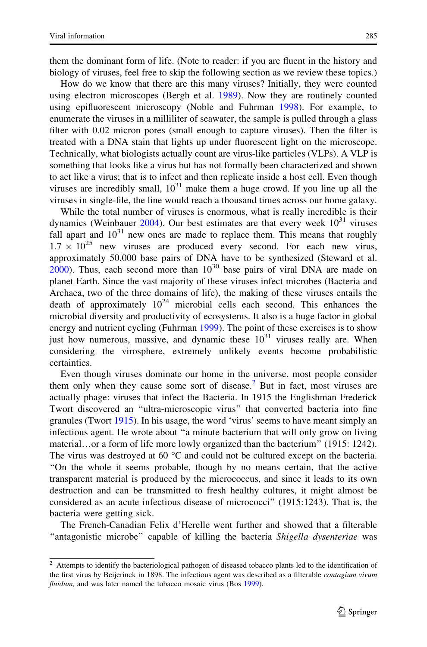them the dominant form of life. (Note to reader: if you are fluent in the history and biology of viruses, feel free to skip the following section as we review these topics.)

How do we know that there are this many viruses? Initially, they were counted using electron microscopes (Bergh et al. [1989\)](#page-14-0). Now they are routinely counted using epifluorescent microscopy (Noble and Fuhrman [1998\)](#page-15-0). For example, to enumerate the viruses in a milliliter of seawater, the sample is pulled through a glass filter with 0.02 micron pores (small enough to capture viruses). Then the filter is treated with a DNA stain that lights up under fluorescent light on the microscope. Technically, what biologists actually count are virus-like particles (VLPs). A VLP is something that looks like a virus but has not formally been characterized and shown to act like a virus; that is to infect and then replicate inside a host cell. Even though viruses are incredibly small,  $10^{31}$  make them a huge crowd. If you line up all the viruses in single-file, the line would reach a thousand times across our home galaxy.

While the total number of viruses is enormous, what is really incredible is their dynamics (Weinbauer [2004](#page-15-0)). Our best estimates are that every week  $10^{31}$  viruses fall apart and  $10^{31}$  new ones are made to replace them. This means that roughly  $1.7 \times 10^{25}$  new viruses are produced every second. For each new virus, approximately 50,000 base pairs of DNA have to be synthesized (Steward et al.  $2000$ ). Thus, each second more than  $10^{30}$  base pairs of viral DNA are made on planet Earth. Since the vast majority of these viruses infect microbes (Bacteria and Archaea, two of the three domains of life), the making of these viruses entails the death of approximately  $10^{24}$  microbial cells each second. This enhances the microbial diversity and productivity of ecosystems. It also is a huge factor in global energy and nutrient cycling (Fuhrman [1999](#page-14-0)). The point of these exercises is to show just how numerous, massive, and dynamic these  $10<sup>31</sup>$  viruses really are. When considering the virosphere, extremely unlikely events become probabilistic certainties.

Even though viruses dominate our home in the universe, most people consider them only when they cause some sort of disease.<sup>2</sup> But in fact, most viruses are actually phage: viruses that infect the Bacteria. In 1915 the Englishman Frederick Twort discovered an ''ultra-microscopic virus'' that converted bacteria into fine granules (Twort [1915](#page-15-0)). In his usage, the word 'virus' seems to have meant simply an infectious agent. He wrote about ''a minute bacterium that will only grow on living material…or a form of life more lowly organized than the bacterium'' (1915: 1242). The virus was destroyed at 60  $^{\circ}$ C and could not be cultured except on the bacteria. ''On the whole it seems probable, though by no means certain, that the active transparent material is produced by the micrococcus, and since it leads to its own destruction and can be transmitted to fresh healthy cultures, it might almost be considered as an acute infectious disease of micrococci'' (1915:1243). That is, the bacteria were getting sick.

The French-Canadian Felix d'Herelle went further and showed that a filterable ''antagonistic microbe'' capable of killing the bacteria Shigella dysenteriae was

<sup>&</sup>lt;sup>2</sup> Attempts to identify the bacteriological pathogen of diseased tobacco plants led to the identification of the first virus by Beijerinck in 1898. The infectious agent was described as a filterable contagium vivum fluidum, and was later named the tobacco mosaic virus (Bos [1999\)](#page-14-0).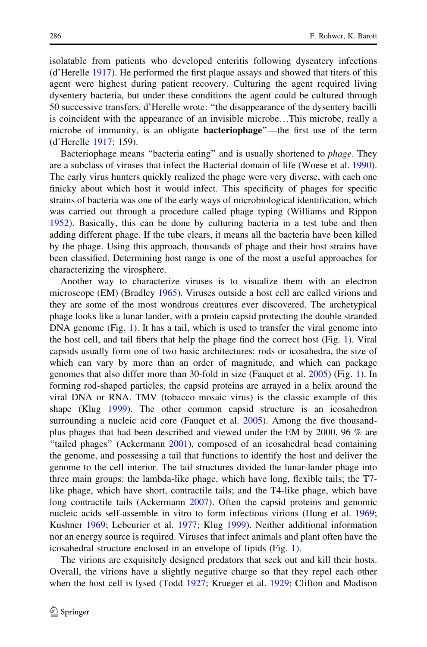isolatable from patients who developed enteritis following dysentery infections (d'Herelle [1917\)](#page-14-0). He performed the first plaque assays and showed that titers of this agent were highest during patient recovery. Culturing the agent required living dysentery bacteria, but under these conditions the agent could be cultured through 50 successive transfers. d'Herelle wrote: ''the disappearance of the dysentery bacilli is coincident with the appearance of an invisible microbe…This microbe, really a microbe of immunity, is an obligate **bacteriophage**"—the first use of the term (d'Herelle [1917](#page-14-0): 159).

Bacteriophage means ''bacteria eating'' and is usually shortened to phage. They are a subclass of viruses that infect the Bacterial domain of life (Woese et al. [1990\)](#page-16-0). The early virus hunters quickly realized the phage were very diverse, with each one finicky about which host it would infect. This specificity of phages for specific strains of bacteria was one of the early ways of microbiological identification, which was carried out through a procedure called phage typing (Williams and Rippon [1952\)](#page-16-0). Basically, this can be done by culturing bacteria in a test tube and then adding different phage. If the tube clears, it means all the bacteria have been killed by the phage. Using this approach, thousands of phage and their host strains have been classified. Determining host range is one of the most a useful approaches for characterizing the virosphere.

Another way to characterize viruses is to visualize them with an electron microscope (EM) (Bradley [1965\)](#page-14-0). Viruses outside a host cell are called virions and they are some of the most wondrous creatures ever discovered. The archetypical phage looks like a lunar lander, with a protein capsid protecting the double stranded DNA genome (Fig. [1\)](#page-6-0). It has a tail, which is used to transfer the viral genome into the host cell, and tail fibers that help the phage find the correct host (Fig. [1\)](#page-6-0). Viral capsids usually form one of two basic architectures: rods or icosahedra, the size of which can vary by more than an order of magnitude, and which can package genomes that also differ more than 30-fold in size (Fauquet et al. [2005\)](#page-14-0) (Fig. [1](#page-6-0)). In forming rod-shaped particles, the capsid proteins are arrayed in a helix around the viral DNA or RNA. TMV (tobacco mosaic virus) is the classic example of this shape (Klug [1999\)](#page-15-0). The other common capsid structure is an icosahedron surrounding a nucleic acid core (Fauquet et al. [2005](#page-14-0)). Among the five thousandplus phages that had been described and viewed under the EM by 2000, 96 % are ''tailed phages'' (Ackermann [2001\)](#page-14-0), composed of an icosahedral head containing the genome, and possessing a tail that functions to identify the host and deliver the genome to the cell interior. The tail structures divided the lunar-lander phage into three main groups: the lambda-like phage, which have long, flexible tails; the T7 like phage, which have short, contractile tails; and the T4-like phage, which have long contractile tails (Ackermann [2007](#page-14-0)). Often the capsid proteins and genomic nucleic acids self-assemble in vitro to form infectious virions (Hung et al. [1969;](#page-14-0) Kushner [1969;](#page-15-0) Lebeurier et al. [1977;](#page-15-0) Klug [1999](#page-15-0)). Neither additional information nor an energy source is required. Viruses that infect animals and plant often have the icosahedral structure enclosed in an envelope of lipids (Fig. [1\)](#page-6-0).

The virions are exquisitely designed predators that seek out and kill their hosts. Overall, the virions have a slightly negative charge so that they repel each other when the host cell is lysed (Todd [1927;](#page-15-0) Krueger et al. [1929;](#page-15-0) Clifton and Madison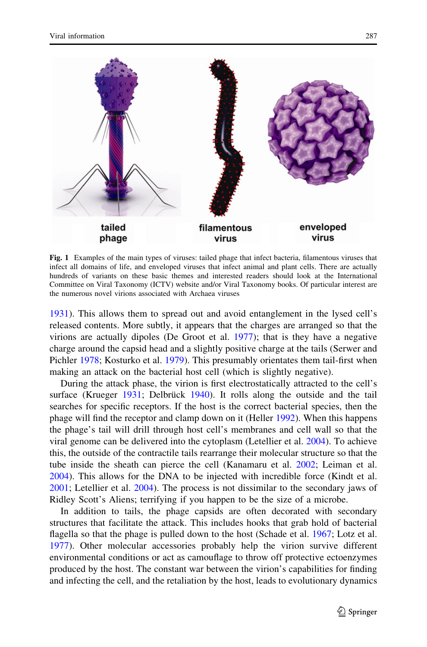<span id="page-6-0"></span>

Fig. 1 Examples of the main types of viruses: tailed phage that infect bacteria, filamentous viruses that infect all domains of life, and enveloped viruses that infect animal and plant cells. There are actually hundreds of variants on these basic themes and interested readers should look at the International Committee on Viral Taxonomy (ICTV) website and/or Viral Taxonomy books. Of particular interest are the numerous novel virions associated with Archaea viruses

[1931\)](#page-14-0). This allows them to spread out and avoid entanglement in the lysed cell's released contents. More subtly, it appears that the charges are arranged so that the virions are actually dipoles (De Groot et al. [1977\)](#page-14-0); that is they have a negative charge around the capsid head and a slightly positive charge at the tails (Serwer and Pichler [1978](#page-15-0); Kosturko et al. [1979\)](#page-15-0). This presumably orientates them tail-first when making an attack on the bacterial host cell (which is slightly negative).

During the attack phase, the virion is first electrostatically attracted to the cell's surface (Krueger  $1931$ ; Delbrück  $1940$ ). It rolls along the outside and the tail searches for specific receptors. If the host is the correct bacterial species, then the phage will find the receptor and clamp down on it (Heller [1992\)](#page-14-0). When this happens the phage's tail will drill through host cell's membranes and cell wall so that the viral genome can be delivered into the cytoplasm (Letellier et al. [2004](#page-15-0)). To achieve this, the outside of the contractile tails rearrange their molecular structure so that the tube inside the sheath can pierce the cell (Kanamaru et al. [2002;](#page-14-0) Leiman et al. [2004\)](#page-15-0). This allows for the DNA to be injected with incredible force (Kindt et al. [2001;](#page-14-0) Letellier et al. [2004](#page-15-0)). The process is not dissimilar to the secondary jaws of Ridley Scott's Aliens; terrifying if you happen to be the size of a microbe.

In addition to tails, the phage capsids are often decorated with secondary structures that facilitate the attack. This includes hooks that grab hold of bacterial flagella so that the phage is pulled down to the host (Schade et al. [1967](#page-15-0); Lotz et al. [1977\)](#page-15-0). Other molecular accessories probably help the virion survive different environmental conditions or act as camouflage to throw off protective ectoenzymes produced by the host. The constant war between the virion's capabilities for finding and infecting the cell, and the retaliation by the host, leads to evolutionary dynamics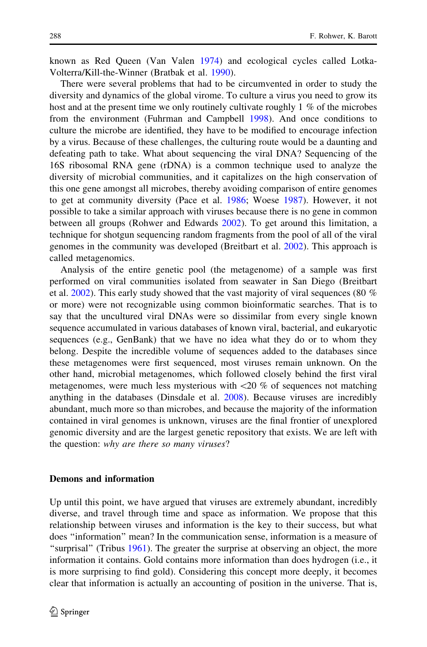known as Red Queen (Van Valen [1974\)](#page-15-0) and ecological cycles called Lotka-Volterra/Kill-the-Winner (Bratbak et al. [1990](#page-14-0)).

There were several problems that had to be circumvented in order to study the diversity and dynamics of the global virome. To culture a virus you need to grow its host and at the present time we only routinely cultivate roughly 1 % of the microbes from the environment (Fuhrman and Campbell [1998\)](#page-14-0). And once conditions to culture the microbe are identified, they have to be modified to encourage infection by a virus. Because of these challenges, the culturing route would be a daunting and defeating path to take. What about sequencing the viral DNA? Sequencing of the 16S ribosomal RNA gene (rDNA) is a common technique used to analyze the diversity of microbial communities, and it capitalizes on the high conservation of this one gene amongst all microbes, thereby avoiding comparison of entire genomes to get at community diversity (Pace et al. [1986](#page-15-0); Woese [1987\)](#page-16-0). However, it not possible to take a similar approach with viruses because there is no gene in common between all groups (Rohwer and Edwards [2002](#page-15-0)). To get around this limitation, a technique for shotgun sequencing random fragments from the pool of all of the viral genomes in the community was developed (Breitbart et al. [2002](#page-14-0)). This approach is called metagenomics.

Analysis of the entire genetic pool (the metagenome) of a sample was first performed on viral communities isolated from seawater in San Diego (Breitbart et al. [2002](#page-14-0)). This early study showed that the vast majority of viral sequences (80 % or more) were not recognizable using common bioinformatic searches. That is to say that the uncultured viral DNAs were so dissimilar from every single known sequence accumulated in various databases of known viral, bacterial, and eukaryotic sequences (e.g., GenBank) that we have no idea what they do or to whom they belong. Despite the incredible volume of sequences added to the databases since these metagenomes were first sequenced, most viruses remain unknown. On the other hand, microbial metagenomes, which followed closely behind the first viral metagenomes, were much less mysterious with  $\langle 20 \%$  of sequences not matching anything in the databases (Dinsdale et al. [2008\)](#page-14-0). Because viruses are incredibly abundant, much more so than microbes, and because the majority of the information contained in viral genomes is unknown, viruses are the final frontier of unexplored genomic diversity and are the largest genetic repository that exists. We are left with the question: why are there so many viruses?

#### Demons and information

Up until this point, we have argued that viruses are extremely abundant, incredibly diverse, and travel through time and space as information. We propose that this relationship between viruses and information is the key to their success, but what does ''information'' mean? In the communication sense, information is a measure of ''surprisal'' (Tribus [1961](#page-15-0)). The greater the surprise at observing an object, the more information it contains. Gold contains more information than does hydrogen (i.e., it is more surprising to find gold). Considering this concept more deeply, it becomes clear that information is actually an accounting of position in the universe. That is,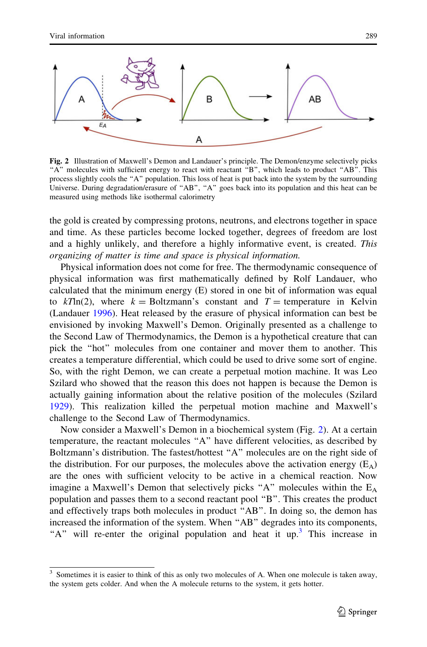

Fig. 2 Illustration of Maxwell's Demon and Landauer's principle. The Demon/enzyme selectively picks "A" molecules with sufficient energy to react with reactant "B", which leads to product "AB". This process slightly cools the ''A'' population. This loss of heat is put back into the system by the surrounding Universe. During degradation/erasure of "AB", "A" goes back into its population and this heat can be measured using methods like isothermal calorimetry

the gold is created by compressing protons, neutrons, and electrons together in space and time. As these particles become locked together, degrees of freedom are lost and a highly unlikely, and therefore a highly informative event, is created. This organizing of matter is time and space is physical information.

Physical information does not come for free. The thermodynamic consequence of physical information was first mathematically defined by Rolf Landauer, who calculated that the minimum energy (E) stored in one bit of information was equal to  $kT\ln(2)$ , where  $k =$  Boltzmann's constant and  $T =$  temperature in Kelvin (Landauer [1996](#page-15-0)). Heat released by the erasure of physical information can best be envisioned by invoking Maxwell's Demon. Originally presented as a challenge to the Second Law of Thermodynamics, the Demon is a hypothetical creature that can pick the ''hot'' molecules from one container and mover them to another. This creates a temperature differential, which could be used to drive some sort of engine. So, with the right Demon, we can create a perpetual motion machine. It was Leo Szilard who showed that the reason this does not happen is because the Demon is actually gaining information about the relative position of the molecules (Szilard [1929\)](#page-15-0). This realization killed the perpetual motion machine and Maxwell's challenge to the Second Law of Thermodynamics.

Now consider a Maxwell's Demon in a biochemical system (Fig. 2). At a certain temperature, the reactant molecules ''A'' have different velocities, as described by Boltzmann's distribution. The fastest/hottest ''A'' molecules are on the right side of the distribution. For our purposes, the molecules above the activation energy  $(E_A)$ are the ones with sufficient velocity to be active in a chemical reaction. Now imagine a Maxwell's Demon that selectively picks "A" molecules within the  $E_A$ population and passes them to a second reactant pool ''B''. This creates the product and effectively traps both molecules in product ''AB''. In doing so, the demon has increased the information of the system. When ''AB'' degrades into its components, "A" will re-enter the original population and heat it up.<sup>3</sup> This increase in

<sup>&</sup>lt;sup>3</sup> Sometimes it is easier to think of this as only two molecules of A. When one molecule is taken away, the system gets colder. And when the A molecule returns to the system, it gets hotter.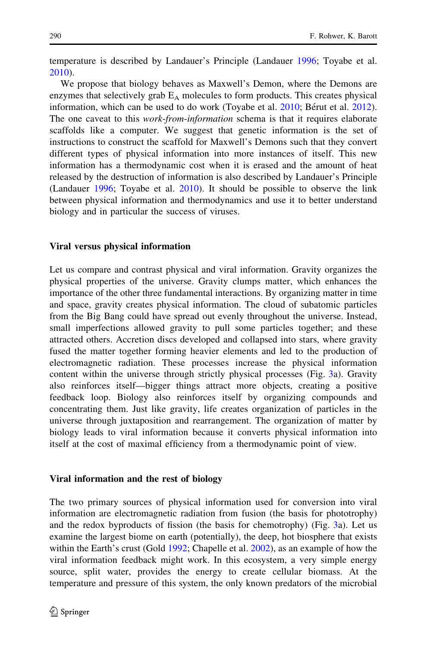temperature is described by Landauer's Principle (Landauer [1996;](#page-15-0) Toyabe et al. [2010\)](#page-15-0).

We propose that biology behaves as Maxwell's Demon, where the Demons are enzymes that selectively grab  $E_A$  molecules to form products. This creates physical information, which can be used to do work (Toyabe et al.  $2010$ ; Bérut et al.  $2012$ ). The one caveat to this *work-from-information* schema is that it requires elaborate scaffolds like a computer. We suggest that genetic information is the set of instructions to construct the scaffold for Maxwell's Demons such that they convert different types of physical information into more instances of itself. This new information has a thermodynamic cost when it is erased and the amount of heat released by the destruction of information is also described by Landauer's Principle (Landauer [1996;](#page-15-0) Toyabe et al. [2010\)](#page-15-0). It should be possible to observe the link between physical information and thermodynamics and use it to better understand biology and in particular the success of viruses.

#### Viral versus physical information

Let us compare and contrast physical and viral information. Gravity organizes the physical properties of the universe. Gravity clumps matter, which enhances the importance of the other three fundamental interactions. By organizing matter in time and space, gravity creates physical information. The cloud of subatomic particles from the Big Bang could have spread out evenly throughout the universe. Instead, small imperfections allowed gravity to pull some particles together; and these attracted others. Accretion discs developed and collapsed into stars, where gravity fused the matter together forming heavier elements and led to the production of electromagnetic radiation. These processes increase the physical information content within the universe through strictly physical processes (Fig. [3](#page-10-0)a). Gravity also reinforces itself—bigger things attract more objects, creating a positive feedback loop. Biology also reinforces itself by organizing compounds and concentrating them. Just like gravity, life creates organization of particles in the universe through juxtaposition and rearrangement. The organization of matter by biology leads to viral information because it converts physical information into itself at the cost of maximal efficiency from a thermodynamic point of view.

#### Viral information and the rest of biology

The two primary sources of physical information used for conversion into viral information are electromagnetic radiation from fusion (the basis for phototrophy) and the redox byproducts of fission (the basis for chemotrophy) (Fig. [3](#page-10-0)a). Let us examine the largest biome on earth (potentially), the deep, hot biosphere that exists within the Earth's crust (Gold [1992;](#page-14-0) Chapelle et al. [2002](#page-14-0)), as an example of how the viral information feedback might work. In this ecosystem, a very simple energy source, split water, provides the energy to create cellular biomass. At the temperature and pressure of this system, the only known predators of the microbial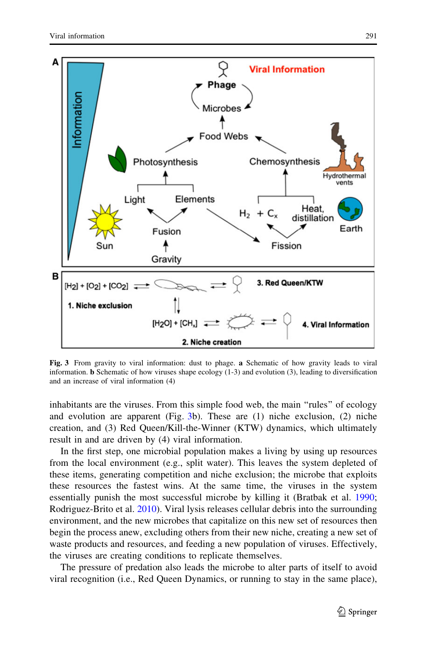<span id="page-10-0"></span>

Fig. 3 From gravity to viral information: dust to phage. a Schematic of how gravity leads to viral information. b Schematic of how viruses shape ecology (1-3) and evolution (3), leading to diversification and an increase of viral information (4)

inhabitants are the viruses. From this simple food web, the main ''rules'' of ecology and evolution are apparent (Fig. 3b). These are (1) niche exclusion, (2) niche creation, and (3) Red Queen/Kill-the-Winner (KTW) dynamics, which ultimately result in and are driven by (4) viral information.

In the first step, one microbial population makes a living by using up resources from the local environment (e.g., split water). This leaves the system depleted of these items, generating competition and niche exclusion; the microbe that exploits these resources the fastest wins. At the same time, the viruses in the system essentially punish the most successful microbe by killing it (Bratbak et al. [1990;](#page-14-0) Rodriguez-Brito et al. [2010](#page-15-0)). Viral lysis releases cellular debris into the surrounding environment, and the new microbes that capitalize on this new set of resources then begin the process anew, excluding others from their new niche, creating a new set of waste products and resources, and feeding a new population of viruses. Effectively, the viruses are creating conditions to replicate themselves.

The pressure of predation also leads the microbe to alter parts of itself to avoid viral recognition (i.e., Red Queen Dynamics, or running to stay in the same place),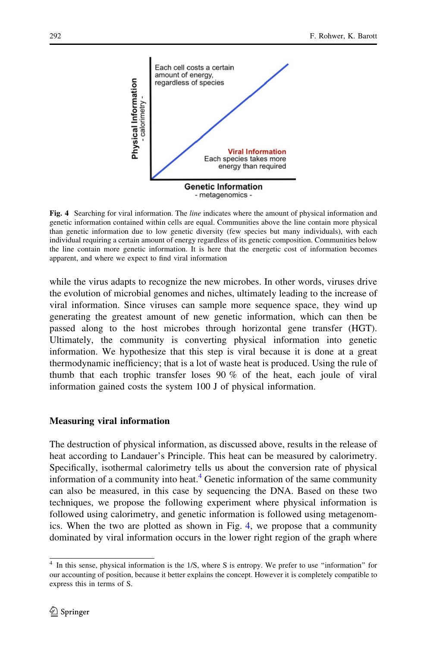![](_page_11_Figure_1.jpeg)

Fig. 4 Searching for viral information. The *line* indicates where the amount of physical information and genetic information contained within cells are equal. Communities above the line contain more physical than genetic information due to low genetic diversity (few species but many individuals), with each individual requiring a certain amount of energy regardless of its genetic composition. Communities below the line contain more genetic information. It is here that the energetic cost of information becomes apparent, and where we expect to find viral information

while the virus adapts to recognize the new microbes. In other words, viruses drive the evolution of microbial genomes and niches, ultimately leading to the increase of viral information. Since viruses can sample more sequence space, they wind up generating the greatest amount of new genetic information, which can then be passed along to the host microbes through horizontal gene transfer (HGT). Ultimately, the community is converting physical information into genetic information. We hypothesize that this step is viral because it is done at a great thermodynamic inefficiency; that is a lot of waste heat is produced. Using the rule of thumb that each trophic transfer loses 90 % of the heat, each joule of viral information gained costs the system 100 J of physical information.

#### Measuring viral information

The destruction of physical information, as discussed above, results in the release of heat according to Landauer's Principle. This heat can be measured by calorimetry. Specifically, isothermal calorimetry tells us about the conversion rate of physical information of a community into heat.<sup>4</sup> Genetic information of the same community can also be measured, in this case by sequencing the DNA. Based on these two techniques, we propose the following experiment where physical information is followed using calorimetry, and genetic information is followed using metagenomics. When the two are plotted as shown in Fig. 4, we propose that a community dominated by viral information occurs in the lower right region of the graph where

<sup>&</sup>lt;sup>4</sup> In this sense, physical information is the 1/S, where S is entropy. We prefer to use "information" for our accounting of position, because it better explains the concept. However it is completely compatible to express this in terms of S.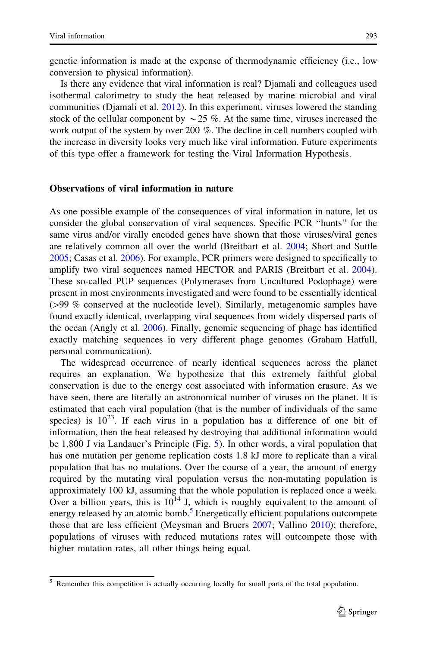genetic information is made at the expense of thermodynamic efficiency (i.e., low conversion to physical information).

Is there any evidence that viral information is real? Djamali and colleagues used isothermal calorimetry to study the heat released by marine microbial and viral communities (Djamali et al. [2012](#page-14-0)). In this experiment, viruses lowered the standing stock of the cellular component by  $\sim$  25 %. At the same time, viruses increased the work output of the system by over 200 %. The decline in cell numbers coupled with the increase in diversity looks very much like viral information. Future experiments of this type offer a framework for testing the Viral Information Hypothesis.

#### Observations of viral information in nature

As one possible example of the consequences of viral information in nature, let us consider the global conservation of viral sequences. Specific PCR ''hunts'' for the same virus and/or virally encoded genes have shown that those viruses/viral genes are relatively common all over the world (Breitbart et al. [2004](#page-14-0); Short and Suttle [2005;](#page-15-0) Casas et al. [2006](#page-14-0)). For example, PCR primers were designed to specifically to amplify two viral sequences named HECTOR and PARIS (Breitbart et al. [2004\)](#page-14-0). These so-called PUP sequences (Polymerases from Uncultured Podophage) were present in most environments investigated and were found to be essentially identical  $(>= 99\%$  conserved at the nucleotide level). Similarly, metagenomic samples have found exactly identical, overlapping viral sequences from widely dispersed parts of the ocean (Angly et al. [2006](#page-14-0)). Finally, genomic sequencing of phage has identified exactly matching sequences in very different phage genomes (Graham Hatfull, personal communication).

The widespread occurrence of nearly identical sequences across the planet requires an explanation. We hypothesize that this extremely faithful global conservation is due to the energy cost associated with information erasure. As we have seen, there are literally an astronomical number of viruses on the planet. It is estimated that each viral population (that is the number of individuals of the same species) is  $10^{23}$ . If each virus in a population has a difference of one bit of information, then the heat released by destroying that additional information would be 1,800 J via Landauer's Principle (Fig. [5\)](#page-13-0). In other words, a viral population that has one mutation per genome replication costs 1.8 kJ more to replicate than a viral population that has no mutations. Over the course of a year, the amount of energy required by the mutating viral population versus the non-mutating population is approximately 100 kJ, assuming that the whole population is replaced once a week. Over a billion years, this is  $10^{14}$  J, which is roughly equivalent to the amount of energy released by an atomic bomb.<sup>5</sup> Energetically efficient populations outcompete those that are less efficient (Meysman and Bruers [2007;](#page-15-0) Vallino [2010\)](#page-15-0); therefore, populations of viruses with reduced mutations rates will outcompete those with higher mutation rates, all other things being equal.

<sup>5</sup> Remember this competition is actually occurring locally for small parts of the total population.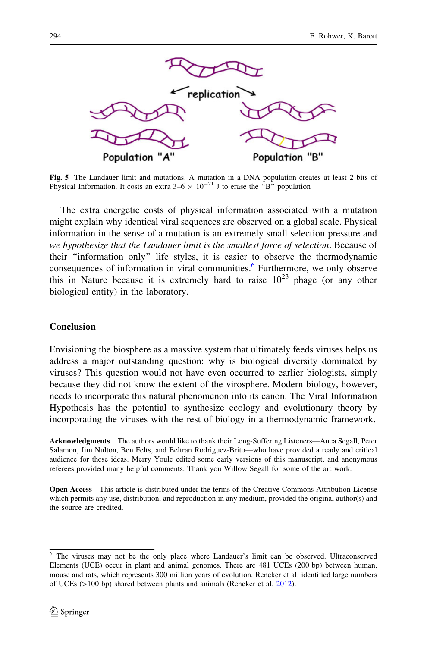<span id="page-13-0"></span>![](_page_13_Figure_1.jpeg)

Fig. 5 The Landauer limit and mutations. A mutation in a DNA population creates at least 2 bits of Physical Information. It costs an extra  $3-6 \times 10^{-21}$  J to erase the "B" population

The extra energetic costs of physical information associated with a mutation might explain why identical viral sequences are observed on a global scale. Physical information in the sense of a mutation is an extremely small selection pressure and we hypothesize that the Landauer limit is the smallest force of selection. Because of their ''information only'' life styles, it is easier to observe the thermodynamic consequences of information in viral communities.<sup>6</sup> Furthermore, we only observe this in Nature because it is extremely hard to raise  $10^{23}$  phage (or any other biological entity) in the laboratory.

#### Conclusion

Envisioning the biosphere as a massive system that ultimately feeds viruses helps us address a major outstanding question: why is biological diversity dominated by viruses? This question would not have even occurred to earlier biologists, simply because they did not know the extent of the virosphere. Modern biology, however, needs to incorporate this natural phenomenon into its canon. The Viral Information Hypothesis has the potential to synthesize ecology and evolutionary theory by incorporating the viruses with the rest of biology in a thermodynamic framework.

Acknowledgments The authors would like to thank their Long-Suffering Listeners—Anca Segall, Peter Salamon, Jim Nulton, Ben Felts, and Beltran Rodriguez-Brito—who have provided a ready and critical audience for these ideas. Merry Youle edited some early versions of this manuscript, and anonymous referees provided many helpful comments. Thank you Willow Segall for some of the art work.

Open Access This article is distributed under the terms of the Creative Commons Attribution License which permits any use, distribution, and reproduction in any medium, provided the original author(s) and the source are credited.

<sup>6</sup> The viruses may not be the only place where Landauer's limit can be observed. Ultraconserved Elements (UCE) occur in plant and animal genomes. There are 481 UCEs (200 bp) between human, mouse and rats, which represents 300 million years of evolution. Reneker et al. identified large numbers of UCEs  $(>100$  bp) shared between plants and animals (Reneker et al. [2012](#page-15-0)).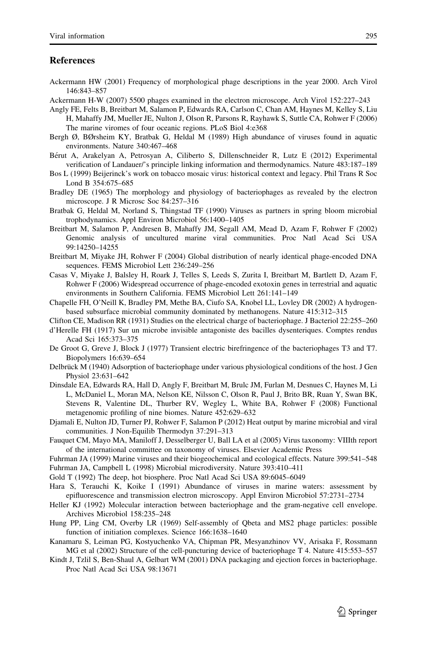#### <span id="page-14-0"></span>**References**

- Ackermann HW (2001) Frequency of morphological phage descriptions in the year 2000. Arch Virol 146:843–857
- Ackermann H-W (2007) 5500 phages examined in the electron microscope. Arch Virol 152:227–243
- Angly FE, Felts B, Breitbart M, Salamon P, Edwards RA, Carlson C, Chan AM, Haynes M, Kelley S, Liu H, Mahaffy JM, Mueller JE, Nulton J, Olson R, Parsons R, Rayhawk S, Suttle CA, Rohwer F (2006) The marine viromes of four oceanic regions. PLoS Biol 4:e368
- Bergh Ø, BØrsheim KY, Bratbak G, Heldal M (1989) High abundance of viruses found in aquatic environments. Nature 340:467–468
- Bérut A, Arakelyan A, Petrosyan A, Ciliberto S, Dillenschneider R, Lutz E (2012) Experimental verification of Landauer/'s principle linking information and thermodynamics. Nature 483:187–189
- Bos L (1999) Beijerinck's work on tobacco mosaic virus: historical context and legacy. Phil Trans R Soc Lond B 354:675–685
- Bradley DE (1965) The morphology and physiology of bacteriophages as revealed by the electron microscope. J R Microsc Soc 84:257–316
- Bratbak G, Heldal M, Norland S, Thingstad TF (1990) Viruses as partners in spring bloom microbial trophodynamics. Appl Environ Microbiol 56:1400–1405
- Breitbart M, Salamon P, Andresen B, Mahaffy JM, Segall AM, Mead D, Azam F, Rohwer F (2002) Genomic analysis of uncultured marine viral communities. Proc Natl Acad Sci USA 99:14250–14255
- Breitbart M, Miyake JH, Rohwer F (2004) Global distribution of nearly identical phage-encoded DNA sequences. FEMS Microbiol Lett 236:249–256
- Casas V, Miyake J, Balsley H, Roark J, Telles S, Leeds S, Zurita I, Breitbart M, Bartlett D, Azam F, Rohwer F (2006) Widespread occurrence of phage-encoded exotoxin genes in terrestrial and aquatic environments in Southern California. FEMS Microbiol Lett 261:141–149
- Chapelle FH, O'Neill K, Bradley PM, Methe BA, Ciufo SA, Knobel LL, Lovley DR (2002) A hydrogenbased subsurface microbial community dominated by methanogens. Nature 415:312–315
- Clifton CE, Madison RR (1931) Studies on the electrical charge of bacteriophage. J Bacteriol 22:255–260
- d'Herelle FH (1917) Sur un microbe invisible antagoniste des bacilles dysenteriques. Comptes rendus Acad Sci 165:373–375
- De Groot G, Greve J, Block J (1977) Transient electric birefringence of the bacteriophages T3 and T7. Biopolymers 16:639–654
- Delbrück M (1940) Adsorption of bacteriophage under various physiological conditions of the host. J Gen Physiol 23:631–642
- Dinsdale EA, Edwards RA, Hall D, Angly F, Breitbart M, Brulc JM, Furlan M, Desnues C, Haynes M, Li L, McDaniel L, Moran MA, Nelson KE, Nilsson C, Olson R, Paul J, Brito BR, Ruan Y, Swan BK, Stevens R, Valentine DL, Thurber RV, Wegley L, White BA, Rohwer F (2008) Functional metagenomic profiling of nine biomes. Nature 452:629–632
- Djamali E, Nulton JD, Turner PJ, Rohwer F, Salamon P (2012) Heat output by marine microbial and viral communities. J Non-Equilib Thermodyn 37:291–313
- Fauquet CM, Mayo MA, Maniloff J, Desselberger U, Ball LA et al (2005) Virus taxonomy: VIIIth report of the international committee on taxonomy of viruses. Elsevier Academic Press
- Fuhrman JA (1999) Marine viruses and their biogeochemical and ecological effects. Nature 399:541–548 Fuhrman JA, Campbell L (1998) Microbial microdiversity. Nature 393:410–411
- Gold T (1992) The deep, hot biosphere. Proc Natl Acad Sci USA 89:6045–6049
- Hara S, Terauchi K, Koike I (1991) Abundance of viruses in marine waters: assessment by epifluorescence and transmission electron microscopy. Appl Environ Microbiol 57:2731–2734
- Heller KJ (1992) Molecular interaction between bacteriophage and the gram-negative cell envelope. Archives Microbiol 158:235–248
- Hung PP, Ling CM, Overby LR (1969) Self-assembly of Qbeta and MS2 phage particles: possible function of initiation complexes. Science 166:1638–1640
- Kanamaru S, Leiman PG, Kostyuchenko VA, Chipman PR, Mesyanzhinov VV, Arisaka F, Rossmann MG et al (2002) Structure of the cell-puncturing device of bacteriophage T 4. Nature 415:553–557
- Kindt J, Tzlil S, Ben-Shaul A, Gelbart WM (2001) DNA packaging and ejection forces in bacteriophage. Proc Natl Acad Sci USA 98:13671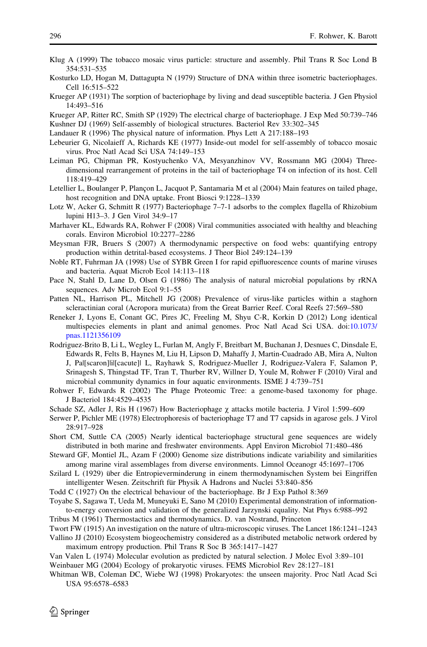- <span id="page-15-0"></span>Klug A (1999) The tobacco mosaic virus particle: structure and assembly. Phil Trans R Soc Lond B 354:531–535
- Kosturko LD, Hogan M, Dattagupta N (1979) Structure of DNA within three isometric bacteriophages. Cell 16:515–522
- Krueger AP (1931) The sorption of bacteriophage by living and dead susceptible bacteria. J Gen Physiol 14:493–516
- Krueger AP, Ritter RC, Smith SP (1929) The electrical charge of bacteriophage. J Exp Med 50:739–746
- Kushner DJ (1969) Self-assembly of biological structures. Bacteriol Rev 33:302–345
- Landauer R (1996) The physical nature of information. Phys Lett A 217:188–193
- Lebeurier G, Nicolaieff A, Richards KE (1977) Inside-out model for self-assembly of tobacco mosaic virus. Proc Natl Acad Sci USA 74:149–153
- Leiman PG, Chipman PR, Kostyuchenko VA, Mesyanzhinov VV, Rossmann MG (2004) Threedimensional rearrangement of proteins in the tail of bacteriophage T4 on infection of its host. Cell 118:419–429
- Letellier L, Boulanger P, Plançon L, Jacquot P, Santamaria M et al (2004) Main features on tailed phage, host recognition and DNA uptake. Front Biosci 9:1228–1339
- Lotz W, Acker G, Schmitt R (1977) Bacteriophage 7–7-1 adsorbs to the complex flagella of Rhizobium lupini H13–3. J Gen Virol 34:9–17
- Marhaver KL, Edwards RA, Rohwer F (2008) Viral communities associated with healthy and bleaching corals. Environ Microbiol 10:2277–2286
- Meysman FJR, Bruers S (2007) A thermodynamic perspective on food webs: quantifying entropy production within detrital-based ecosystems. J Theor Biol 249:124–139
- Noble RT, Fuhrman JA (1998) Use of SYBR Green I for rapid epifluorescence counts of marine viruses and bacteria. Aquat Microb Ecol 14:113–118
- Pace N, Stahl D, Lane D, Olsen G (1986) The analysis of natural microbial populations by rRNA sequences. Adv Microb Ecol 9:1–55
- Patten NL, Harrison PL, Mitchell JG (2008) Prevalence of virus-like particles within a staghorn scleractinian coral (Acropora muricata) from the Great Barrier Reef. Coral Reefs 27:569–580
- Reneker J, Lyons E, Conant GC, Pires JC, Freeling M, Shyu C-R, Korkin D (2012) Long identical multispecies elements in plant and animal genomes. Proc Natl Acad Sci USA. doi[:10.1073/](http://dx.doi.org/10.1073/pnas.1121356109) [pnas.1121356109](http://dx.doi.org/10.1073/pnas.1121356109)
- Rodriguez-Brito B, Li L, Wegley L, Furlan M, Angly F, Breitbart M, Buchanan J, Desnues C, Dinsdale E, Edwards R, Felts B, Haynes M, Liu H, Lipson D, Mahaffy J, Martin-Cuadrado AB, Mira A, Nulton J, Pa|[scaron]|i|[cacute]| L, Rayhawk S, Rodriguez-Mueller J, Rodriguez-Valera F, Salamon P, Srinagesh S, Thingstad TF, Tran T, Thurber RV, Willner D, Youle M, Rohwer F (2010) Viral and microbial community dynamics in four aquatic environments. ISME J 4:739–751
- Rohwer F, Edwards R (2002) The Phage Proteomic Tree: a genome-based taxonomy for phage. J Bacteriol 184:4529–4535
- Schade SZ, Adler J, Ris H (1967) How Bacteriophage  $\chi$  attacks motile bacteria. J Virol 1:599–609
- Serwer P, Pichler ME (1978) Electrophoresis of bacteriophage T7 and T7 capsids in agarose gels. J Virol 28:917–928
- Short CM, Suttle CA (2005) Nearly identical bacteriophage structural gene sequences are widely distributed in both marine and freshwater environments. Appl Environ Microbiol 71:480–486
- Steward GF, Montiel JL, Azam F (2000) Genome size distributions indicate variability and similarities among marine viral assemblages from diverse environments. Limnol Oceanogr 45:1697–1706
- Szilard L (1929) über die Entropieverminderung in einem thermodynamischen System bei Eingriffen intelligenter Wesen. Zeitschrift für Physik A Hadrons and Nuclei 53:840–856
- Todd C (1927) On the electrical behaviour of the bacteriophage. Br J Exp Pathol 8:369
- Toyabe S, Sagawa T, Ueda M, Muneyuki E, Sano M (2010) Experimental demonstration of informationto-energy conversion and validation of the generalized Jarzynski equality. Nat Phys 6:988–992
- Tribus M (1961) Thermostactics and thermodynamics. D. van Nostrand, Princeton
- Twort FW (1915) An investigation on the nature of ultra-microscopic viruses. The Lancet 186:1241–1243
- Vallino JJ (2010) Ecosystem biogeochemistry considered as a distributed metabolic network ordered by maximum entropy production. Phil Trans R Soc B 365:1417–1427
- Van Valen L (1974) Molecular evolution as predicted by natural selection. J Molec Evol 3:89–101 Weinbauer MG (2004) Ecology of prokaryotic viruses. FEMS Microbiol Rev 28:127–181
- Whitman WB, Coleman DC, Wiebe WJ (1998) Prokaryotes: the unseen majority. Proc Natl Acad Sci USA 95:6578–6583